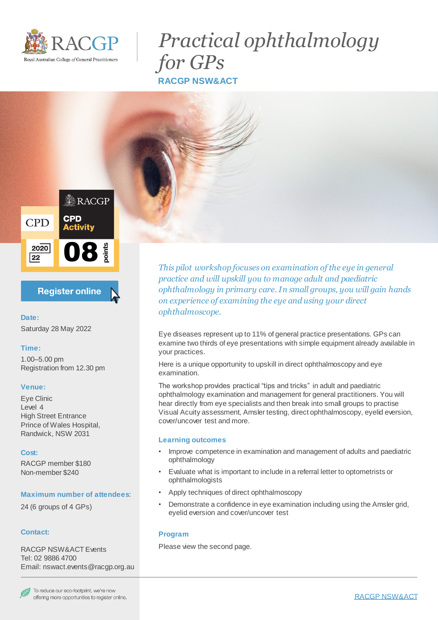

# *Practical ophthalmology for GPs* **RACGP NSW&ACT**



# **Register online**

### **Date:** Saturday 28 May 2022

# **Time:**

1.00–5.00 pm Registration from 12.30 pm

# **Venue:**

Eye Clinic Level 4 High Street Entrance Prince of Wales Hospital, Randwick, NSW 2031

#### **Cost:**

RACGP member \$180 Non-member \$240

#### **Maximum number of attendees**:

24 (6 groups of 4 GPs)

#### **Contact:**

RACGP NSW&ACT Events Tel: 02 9886 4700 Email: nswact.events@racgp.org.au *This pilot workshop focuses on examination of the eye in general practice and will upskill you to manage adult and paediatric ophthalmology in primary care. In small groups, you will gain hands on experience of examining the eye and using your direct ophthalmoscope.*

Eye diseases represent up to 11% of general practice presentations. GPs can examine two thirds of eye presentations with simple equipment already available in your practices.

Here is a unique opportunity to upskill in direct ophthalmoscopy and eye examination.

The workshop provides practical "tips and tricks" in adult and paediatric ophthalmology examination and management for general practitioners. You will hear directly from eye specialists and then break into small groups to practise Visual Acuity assessment, Amsler testing, direct ophthalmoscopy, eyelid eversion, cover/uncover test and more.

#### **Learning outcomes**

- Improve competence in examination and management of adults and paediatric ophthalmology
- Evaluate what is important to include in a referral letter to optometrists or ophthalmologists
- Apply techniques of direct ophthalmoscopy
- Demonstrate a confidence in eye examination including using the Amsler grid, eyelid eversion and cover/uncover test

#### **Program**

Please view the second page.